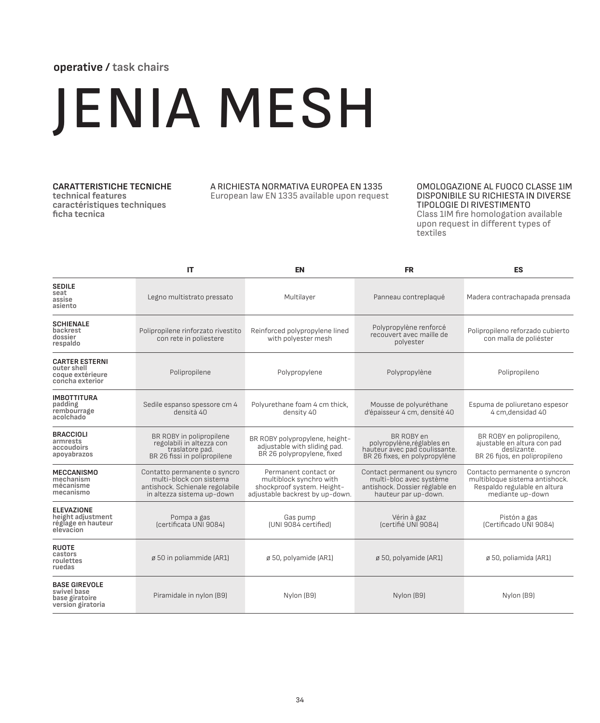# **operative / task chairs**

# JENIA MESH

## **CARATTERISTICHE TECNICHE**

**technical features caractéristiques techniques ficha tecnica**

### A RICHIESTA NORMATIVA EUROPEA EN 1335 European law EN 1335 available upon request

### OMOLOGAZIONE AL FUOCO CLASSE 1IM DISPONIBILE SU RICHIESTA IN DIVERSE TIPOLOGIE DI RIVESTIMENTO

Class 1IM fire homologation available upon request in different types of textiles

|                                                                             | IT                                                                                                                       | <b>EN</b>                                                                                                        | <b>FR</b>                                                                                                        | <b>ES</b>                                                                                                           |  |
|-----------------------------------------------------------------------------|--------------------------------------------------------------------------------------------------------------------------|------------------------------------------------------------------------------------------------------------------|------------------------------------------------------------------------------------------------------------------|---------------------------------------------------------------------------------------------------------------------|--|
| <b>SEDILE</b><br>seat<br>assise<br>asiento                                  | Legno multistrato pressato                                                                                               | Multilayer                                                                                                       | Panneau contreplaqué                                                                                             | Madera contrachapada prensada                                                                                       |  |
| <b>SCHIENALE</b><br>backrest<br>dossier<br>respaldo                         | Polipropilene rinforzato rivestito<br>con rete in poliestere                                                             | Reinforced polypropylene lined<br>with polyester mesh                                                            | Polypropylène renforcé<br>recouvert avec maille de<br>polvester                                                  | Polipropileno reforzado cubierto<br>con malla de poliéster                                                          |  |
| <b>CARTER ESTERNI</b><br>outer shell<br>coque extérieure<br>concha exterior | Polipropilene                                                                                                            | Polypropylene                                                                                                    | Polypropylène                                                                                                    | Polipropileno                                                                                                       |  |
| <b>IMBOTTITURA</b><br>padding<br>rembourrage<br>acolchado                   | Sedile espanso spessore cm 4<br>densità 40                                                                               | Polyurethane foam 4 cm thick,<br>density 40                                                                      | Mousse de polyuréthane<br>d'épaisseur 4 cm, densité 40                                                           | Espuma de poliuretano espesor<br>4 cm, densidad 40                                                                  |  |
| <b>BRACCIOLI</b><br>armrests<br>accoudoirs<br>apoyabrazos                   | BR ROBY in polipropilene<br>regolabili in altezza con<br>traslatore pad.<br>BR 26 fissi in polipropilene                 | BR ROBY polypropylene, height-<br>adjustable with sliding pad.<br>BR 26 polypropylene, fixed                     | BR ROBY en<br>polyropylène, réglables en<br>hauteur avec pad coulissante.<br>BR 26 fixes, en polypropylène       | BR ROBY en polipropileno,<br>ajustable en altura con pad<br>deslizante.<br>BR 26 fijos, en polipropileno            |  |
| <b>MECCANISMO</b><br>mechanism<br>mécanisme<br>mecanismo                    | Contatto permanente o syncro<br>multi-block con sistema<br>antishock. Schienale regolabile<br>in altezza sistema up-down | Permanent contact or<br>multiblock synchro with<br>shockproof system. Height-<br>adjustable backrest by up-down. | Contact permanent ou syncro<br>multi-bloc avec système<br>antishock. Dossier réglable en<br>hauteur par up-down. | Contacto permanente o syncron<br>multibloque sistema antishock.<br>Respaldo regulable en altura<br>mediante up-down |  |
| <b>ELEVAZIONE</b><br>height adjustment<br>réglage en hauteur<br>elevacion   | Pompa a gas<br>(certificata UNI 9084)                                                                                    | Gas pump<br>(UNI 9084 certified)                                                                                 | Vérin à gaz<br>(certifié UNI 9084)                                                                               | Pistón a gas<br>(Certificado UNI 9084)                                                                              |  |
| <b>RUOTE</b><br>castors<br>roulettes<br>ruedas                              | ø 50 in poliammide (AR1)                                                                                                 | ø 50, polyamide (AR1)                                                                                            | ø 50, polyamide (AR1)                                                                                            | ø 50, poliamida (AR1)                                                                                               |  |
| <b>BASE GIREVOLE</b><br>swivel base<br>base giratoire<br>version giratoria  | Piramidale in nylon (B9)                                                                                                 | Nylon (B9)                                                                                                       | Nylon (B9)                                                                                                       | Nylon (B9)                                                                                                          |  |